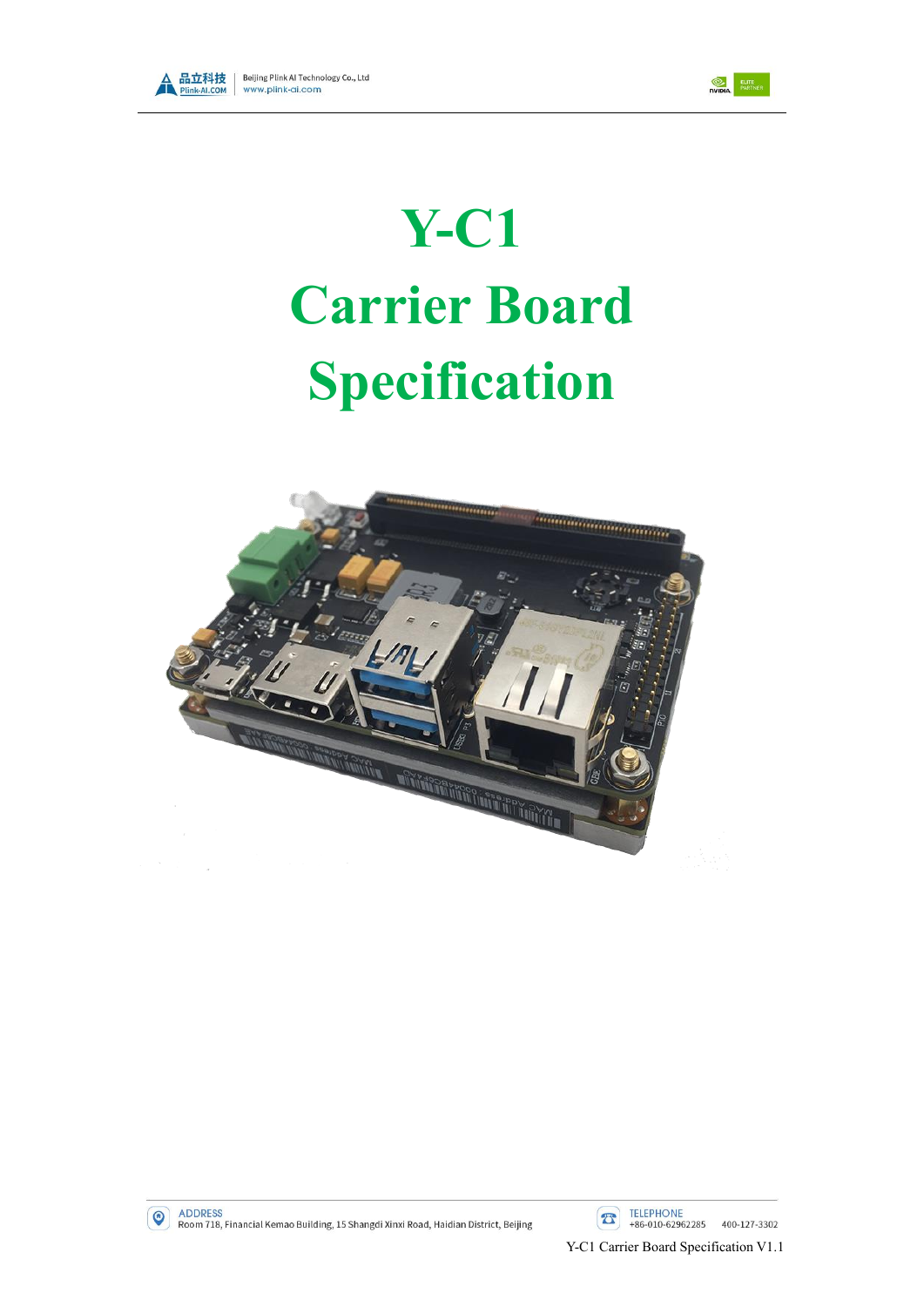



# **Y-C1 Carrier Board Specification**



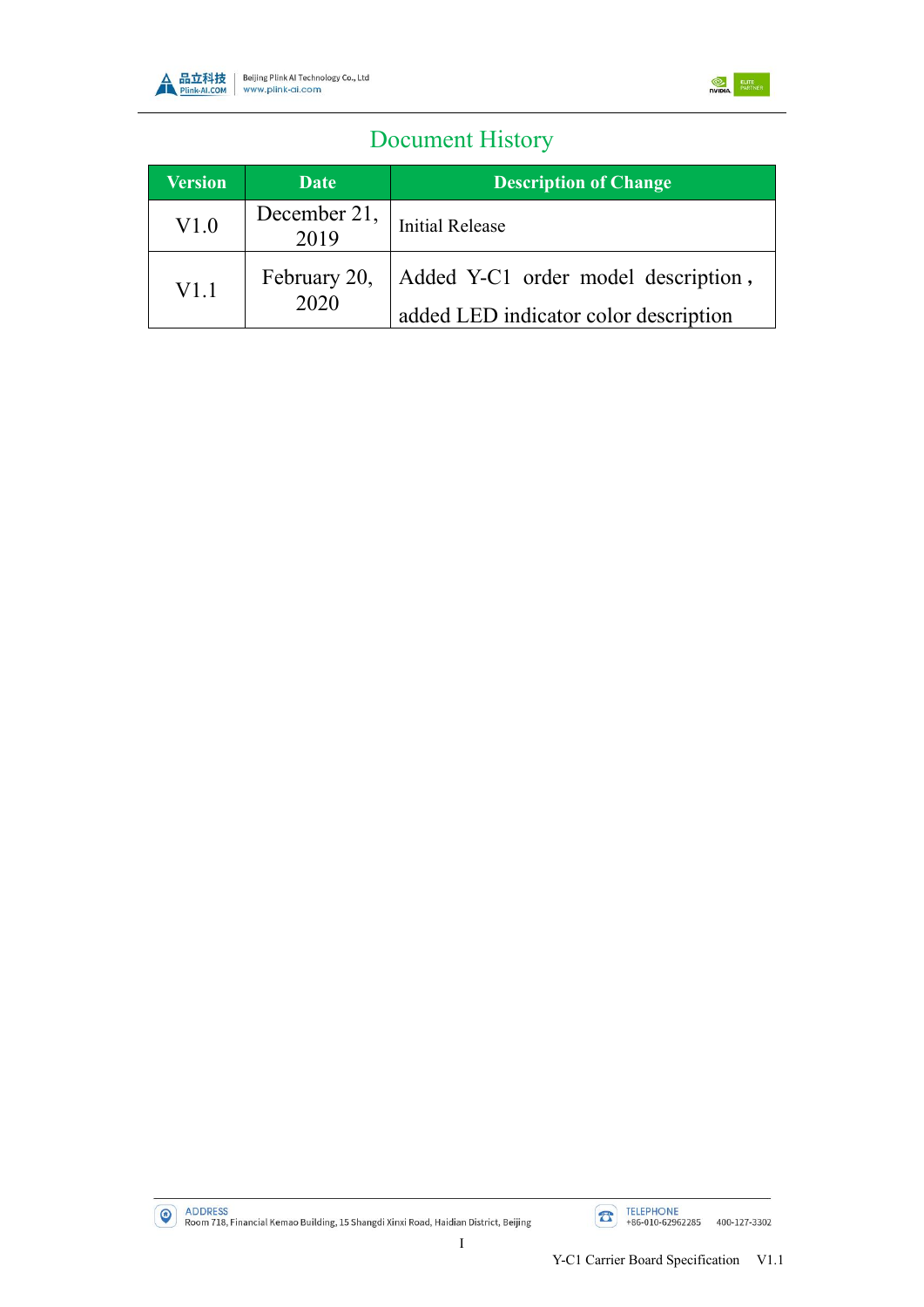



# Document History

| <b>Version</b> | Date                 | <b>Description of Change</b>                                                 |
|----------------|----------------------|------------------------------------------------------------------------------|
| V1.0           | December 21,<br>2019 | <b>Initial Release</b>                                                       |
| V1.1           | February 20,<br>2020 | Added Y-C1 order model description,<br>added LED indicator color description |

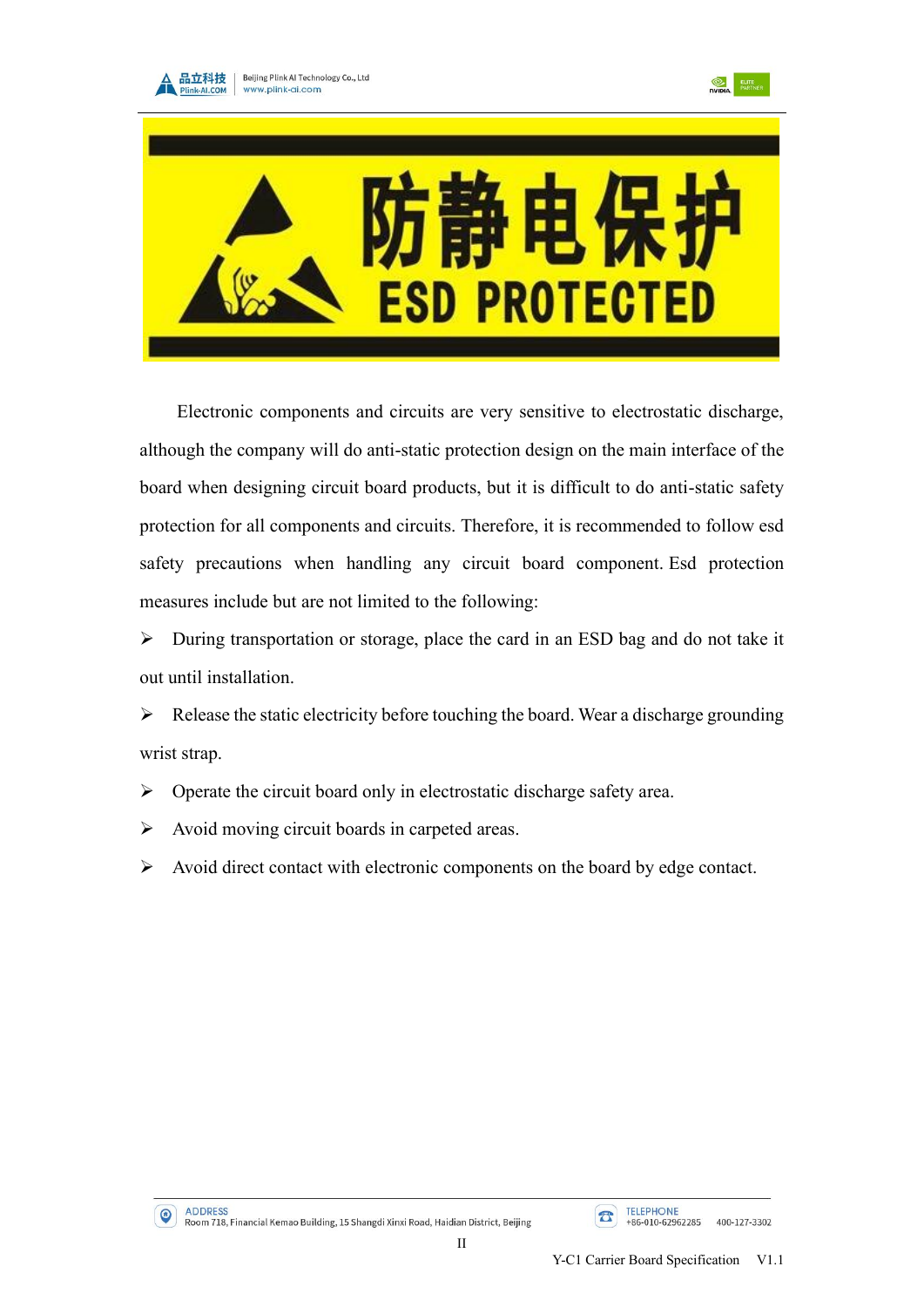





Electronic components and circuits are very sensitive to electrostatic discharge, although the company will do anti-static protection design on the main interface of the board when designing circuit board products, but it is difficult to do anti-static safety protection for all components and circuits. Therefore, it is recommended to follow esd safety precautions when handling any circuit board component. Esd protection measures include but are not limited to the following:

➢ During transportation or storage, place the card in an ESD bag and do not take it out until installation.

 $\triangleright$  Release the static electricity before touching the board. Wear a discharge grounding wrist strap.

- ➢ Operate the circuit board only in electrostatic discharge safety area.
- ➢ Avoid moving circuit boards in carpeted areas.
- $\triangleright$  Avoid direct contact with electronic components on the board by edge contact.

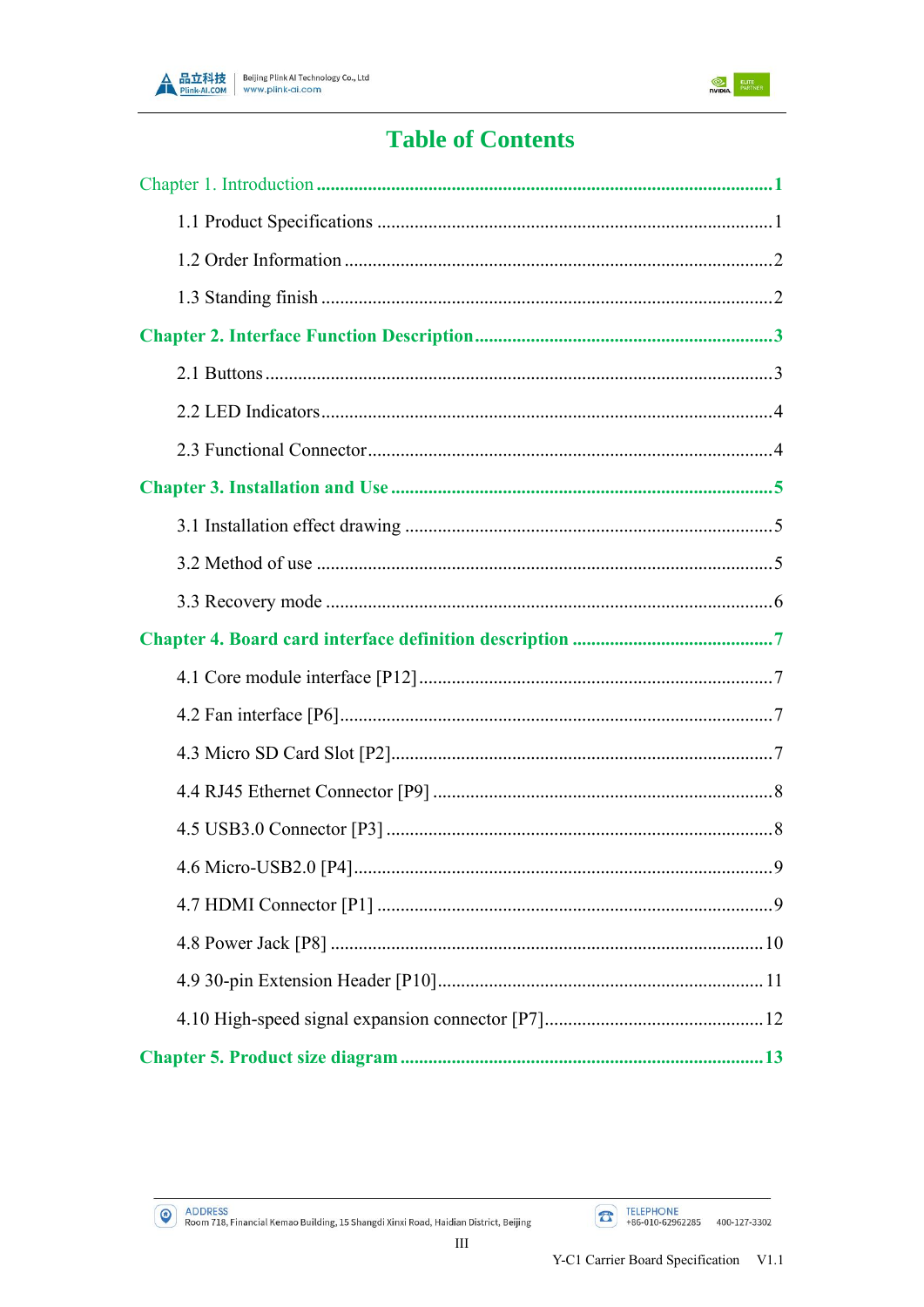



# **Table of Contents**

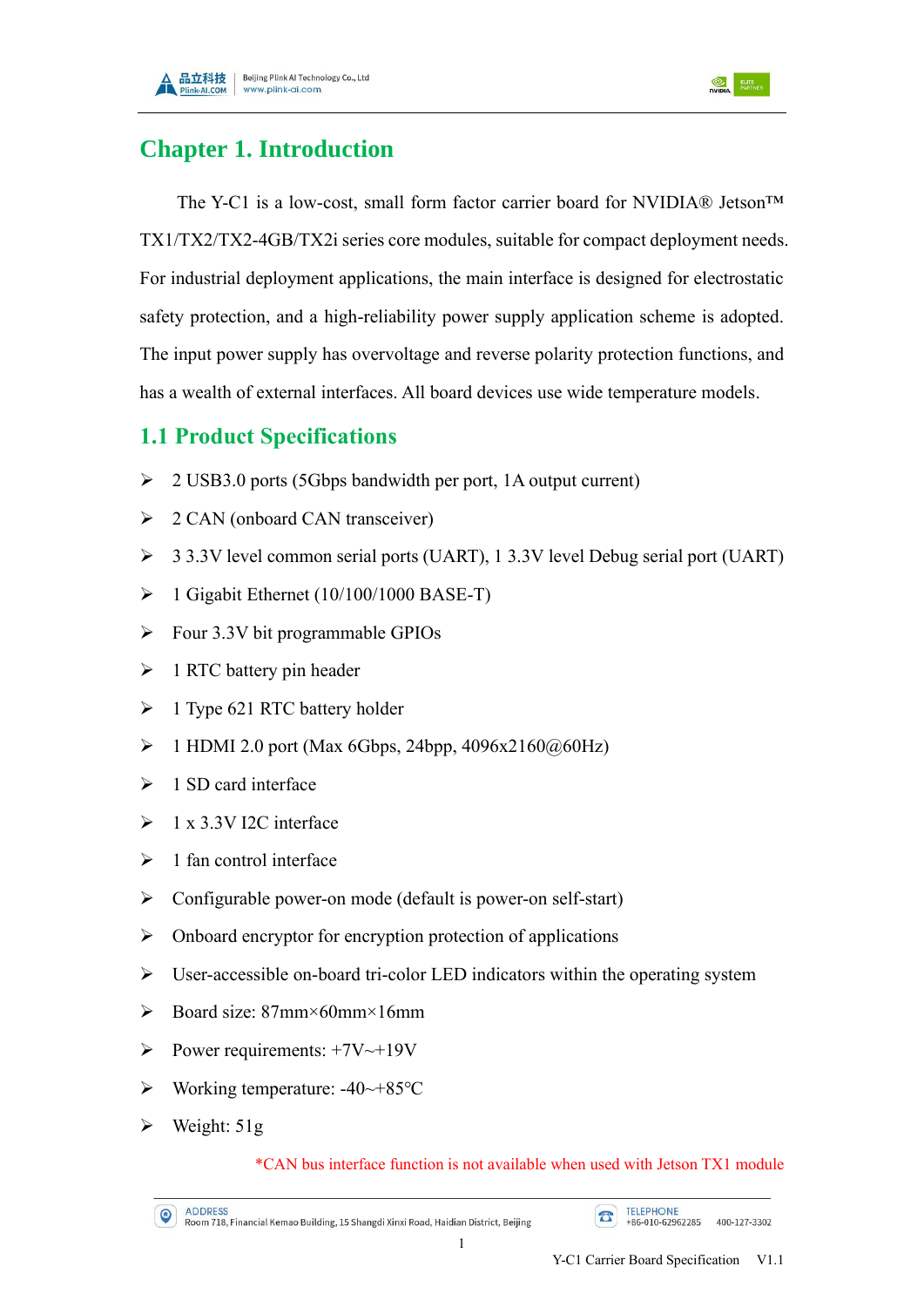



## <span id="page-4-0"></span>**Chapter 1. Introduction**

The Y-C1 is a low-cost, small form factor carrier board for NVIDIA® Jetson<sup>TM</sup> TX1/TX2/TX2-4GB/TX2i series core modules, suitable for compact deployment needs. For industrial deployment applications, the main interface is designed for electrostatic safety protection, and a high-reliability power supply application scheme is adopted. The input power supply has overvoltage and reverse polarity protection functions, and has a wealth of external interfaces. All board devices use wide temperature models.

#### <span id="page-4-1"></span>**1.1 Product Specifications**

- ➢ 2 USB3.0 ports (5Gbps bandwidth per port, 1A output current)
- $\geq$  2 CAN (onboard CAN transceiver)
- ➢ 3 3.3V level common serial ports (UART), 1 3.3V level Debug serial port (UART)
- $\triangleright$  1 Gigabit Ethernet (10/100/1000 BASE-T)
- ➢ Four 3.3V bit programmable GPIOs
- $\triangleright$  1 RTC battery pin header
- $\geq 1$  Type 621 RTC battery holder
- $\triangleright$  1 HDMI 2.0 port (Max 6Gbps, 24bpp, 4096x2160@60Hz)
- $\geq 1$  SD card interface
- $\geq 1$  x 3.3V I2C interface
- $\geq 1$  fan control interface
- ➢ Configurable power-on mode (default is power-on self-start)
- ➢ Onboard encryptor for encryption protection of applications
- ➢ User-accessible on-board tri-color LED indicators within the operating system
- ➢ Board size: 87mm×60mm×16mm
- $\triangleright$  Power requirements: +7V~+19V
- ➢ Working temperature: -40~+85℃
- $\triangleright$  Weight: 51g

#### \*CAN bus interface function is not available when used with Jetson TX1 module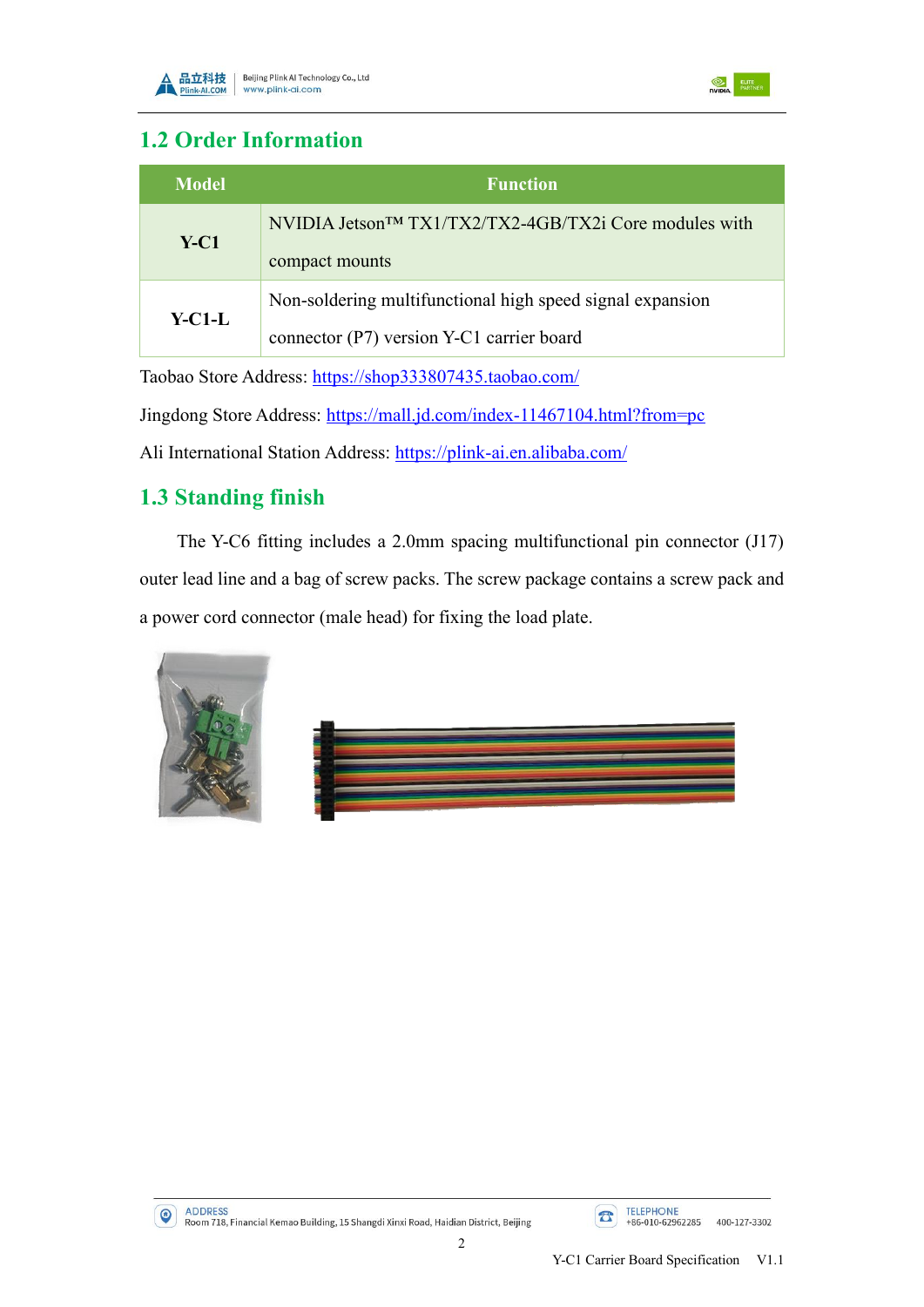



### <span id="page-5-0"></span>**1.2 Order Information**

| Model  | <b>Function</b>                                                                                        |
|--------|--------------------------------------------------------------------------------------------------------|
| $Y-C1$ | NVIDIA Jetson <sup>TM</sup> TX1/TX2/TX2-4GB/TX2i Core modules with<br>compact mounts                   |
| Y-C1-L | Non-soldering multifunctional high speed signal expansion<br>connector (P7) version Y-C1 carrier board |

Taobao Store Address: <https://shop333807435.taobao.com/>

Jingdong Store Address: <https://mall.jd.com/index-11467104.html?from=pc>

Ali International Station Address: <https://plink-ai.en.alibaba.com/>

## <span id="page-5-1"></span>**1.3 Standing finish**

The Y-C6 fitting includes a 2.0mm spacing multifunctional pin connector (J17) outer lead line and a bag of screw packs. The screw package contains a screw pack and a power cord connector (male head) for fixing the load plate.



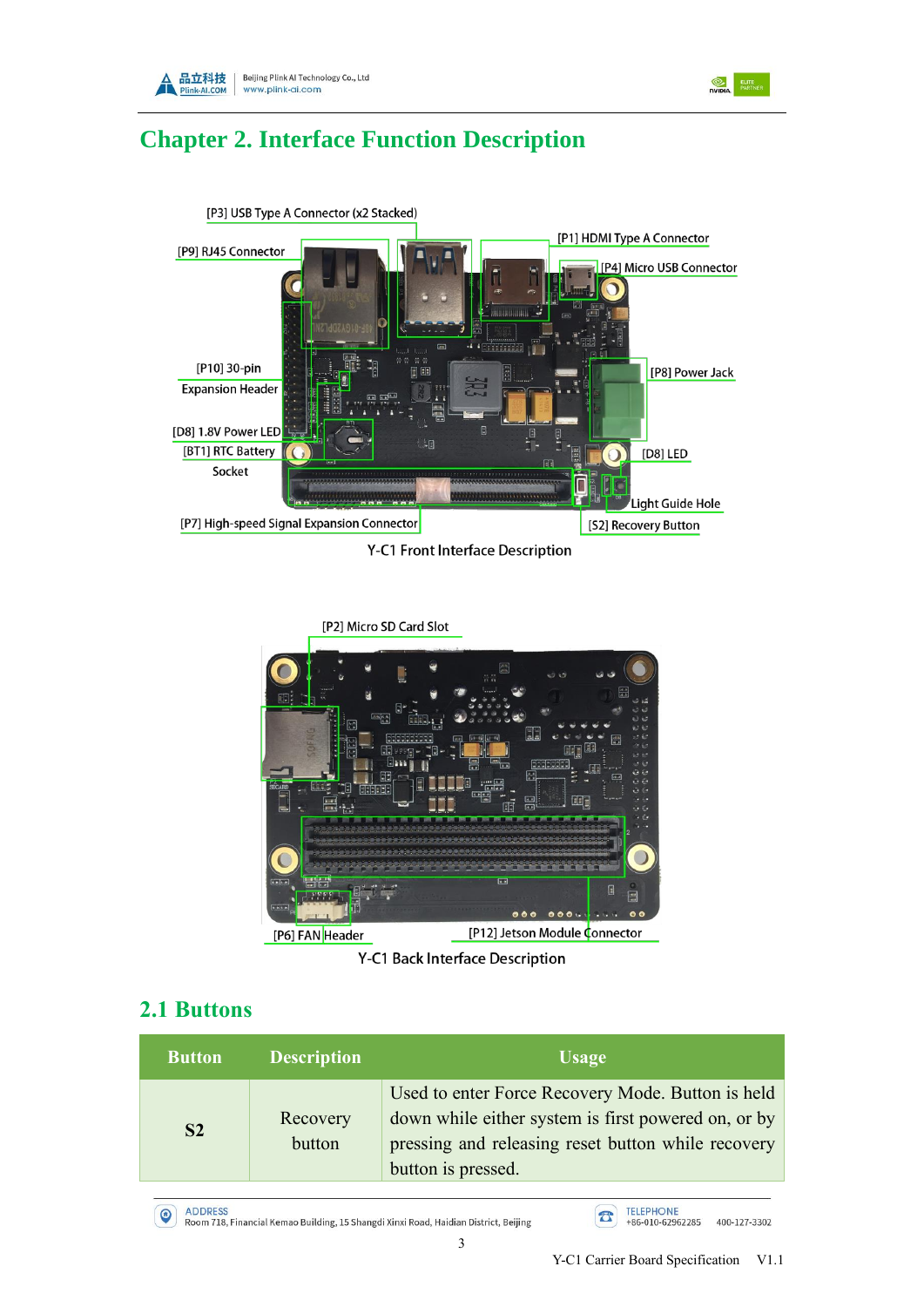



## <span id="page-6-0"></span>**Chapter 2. Interface Function Description**



Y-C1 Front Interface Description

[P2] Micro SD Card Slot 咽 Π E  $000$  $000$ [P12] Jetson Module Connector [P6] FAN Header

Y-C1 Back Interface Description

## <span id="page-6-1"></span>**2.1 Buttons**

 $\odot$ 

| <b>Button</b>  | <b>Description</b> | <b>Usage</b>                                                                                                                                                                         |
|----------------|--------------------|--------------------------------------------------------------------------------------------------------------------------------------------------------------------------------------|
| S <sub>2</sub> | Recovery<br>button | Used to enter Force Recovery Mode. Button is held<br>down while either system is first powered on, or by<br>pressing and releasing reset button while recovery<br>button is pressed. |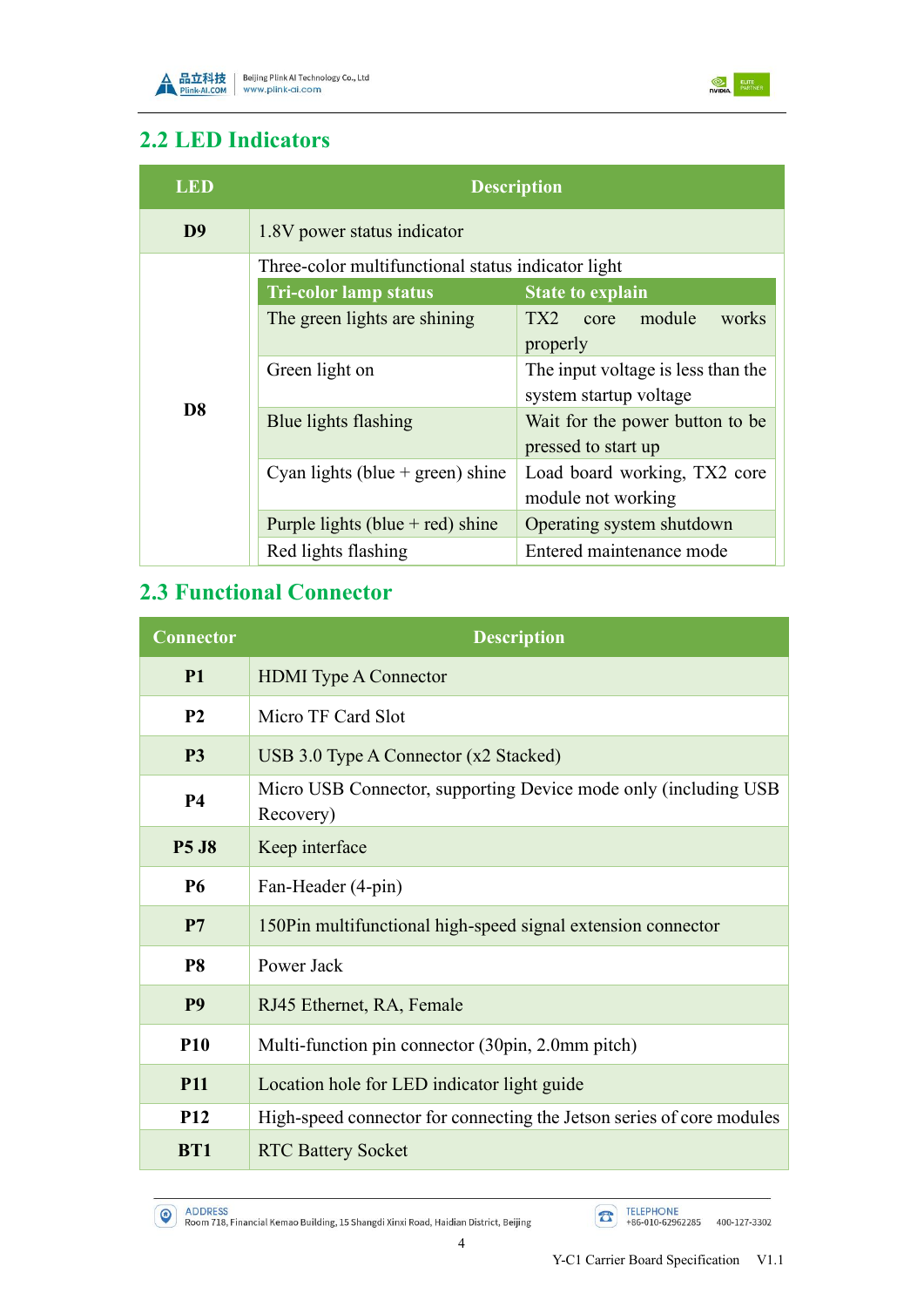



## <span id="page-7-0"></span>**2.2 LED Indicators**

| LED            |                                                    | <b>Description</b>                 |  |  |
|----------------|----------------------------------------------------|------------------------------------|--|--|
| D <sub>9</sub> | 1.8V power status indicator                        |                                    |  |  |
|                | Three-color multifunctional status indicator light |                                    |  |  |
|                | <b>Tri-color lamp status</b>                       | <b>State to explain</b>            |  |  |
|                | The green lights are shining                       | TX2<br>core module<br>works        |  |  |
|                |                                                    | properly                           |  |  |
|                | Green light on                                     | The input voltage is less than the |  |  |
| D <sub>8</sub> |                                                    | system startup voltage             |  |  |
|                | Blue lights flashing                               | Wait for the power button to be    |  |  |
|                |                                                    | pressed to start up                |  |  |
|                | Cyan lights (blue $+$ green) shine                 | Load board working, TX2 core       |  |  |
|                |                                                    | module not working                 |  |  |
|                | Purple lights (blue $+$ red) shine                 | Operating system shutdown          |  |  |
|                | Red lights flashing                                | Entered maintenance mode           |  |  |

## <span id="page-7-1"></span>**2.3 Functional Connector**

| <b>Connector</b> | <b>Description</b>                                                            |
|------------------|-------------------------------------------------------------------------------|
| <b>P1</b>        | <b>HDMI</b> Type A Connector                                                  |
| P <sub>2</sub>   | Micro TF Card Slot                                                            |
| P <sub>3</sub>   | USB 3.0 Type A Connector (x2 Stacked)                                         |
| <b>P4</b>        | Micro USB Connector, supporting Device mode only (including USB)<br>Recovery) |
| <b>P5 J8</b>     | Keep interface                                                                |
| <b>P6</b>        | Fan-Header (4-pin)                                                            |
| P7               | 150Pin multifunctional high-speed signal extension connector                  |
| P <sub>8</sub>   | Power Jack                                                                    |
| <b>P9</b>        | RJ45 Ethernet, RA, Female                                                     |
| <b>P10</b>       | Multi-function pin connector (30pin, 2.0mm pitch)                             |
| <b>P11</b>       | Location hole for LED indicator light guide                                   |
| <b>P12</b>       | High-speed connector for connecting the Jetson series of core modules         |
| <b>BT1</b>       | <b>RTC Battery Socket</b>                                                     |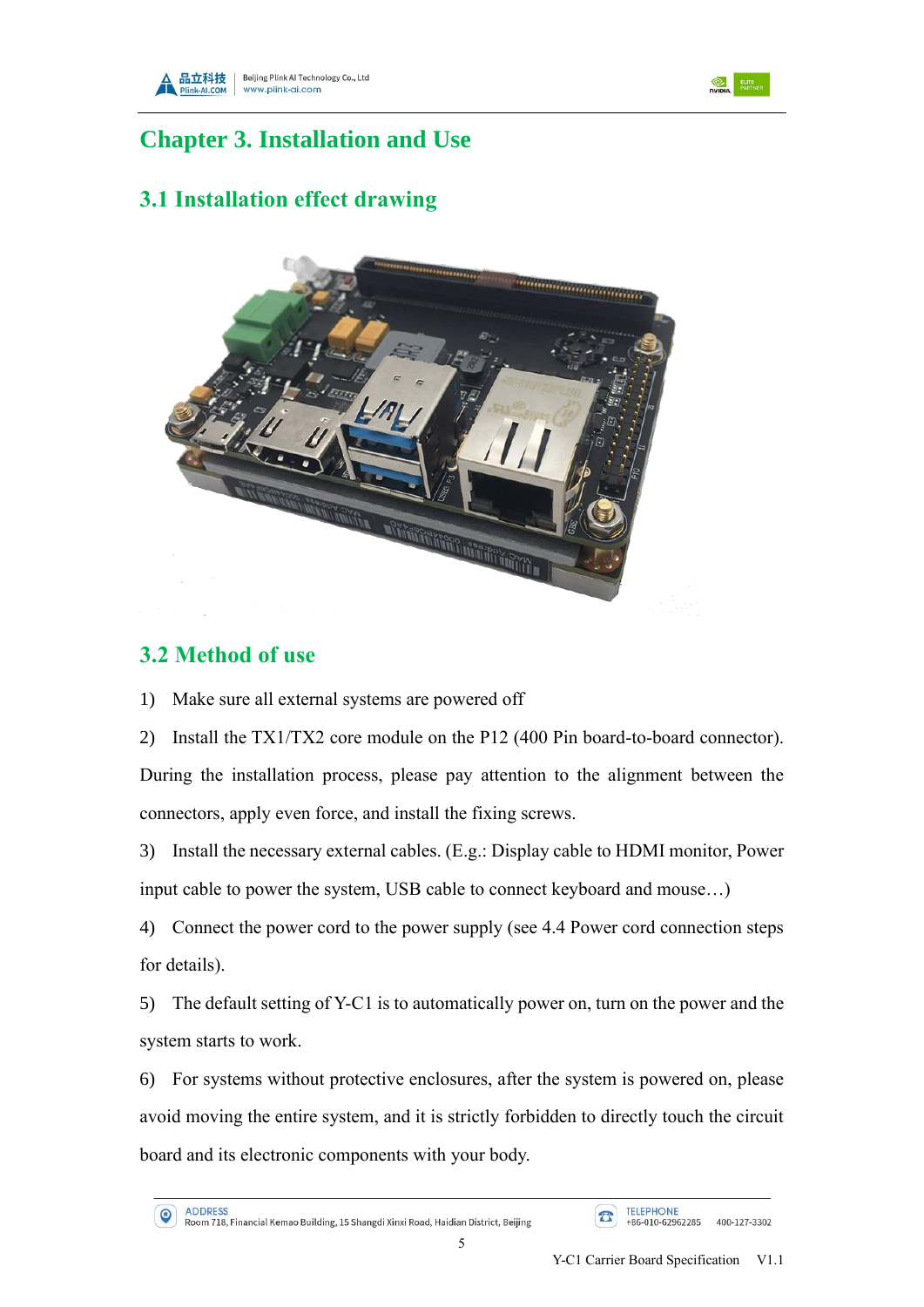





## <span id="page-8-0"></span>**Chapter 3. Installation and Use**

## <span id="page-8-1"></span>**3.1 Installation effect drawing**



#### <span id="page-8-2"></span>**3.2 Method of use**

1) Make sure all external systems are powered off

2) Install the TX1/TX2 core module on the P12 (400 Pin board-to-board connector). During the installation process, please pay attention to the alignment between the connectors, apply even force, and install the fixing screws.

3) Install the necessary external cables. (E.g.: Display cable to HDMI monitor, Power input cable to power the system, USB cable to connect keyboard and mouse…)

4) Connect the power cord to the power supply (see 4.4 Power cord connection steps for details).

5) The default setting of Y-C1 is to automatically power on, turn on the power and the system starts to work.

6) For systems without protective enclosures, after the system is powered on, please avoid moving the entire system, and it is strictly forbidden to directly touch the circuit board and its electronic components with your body.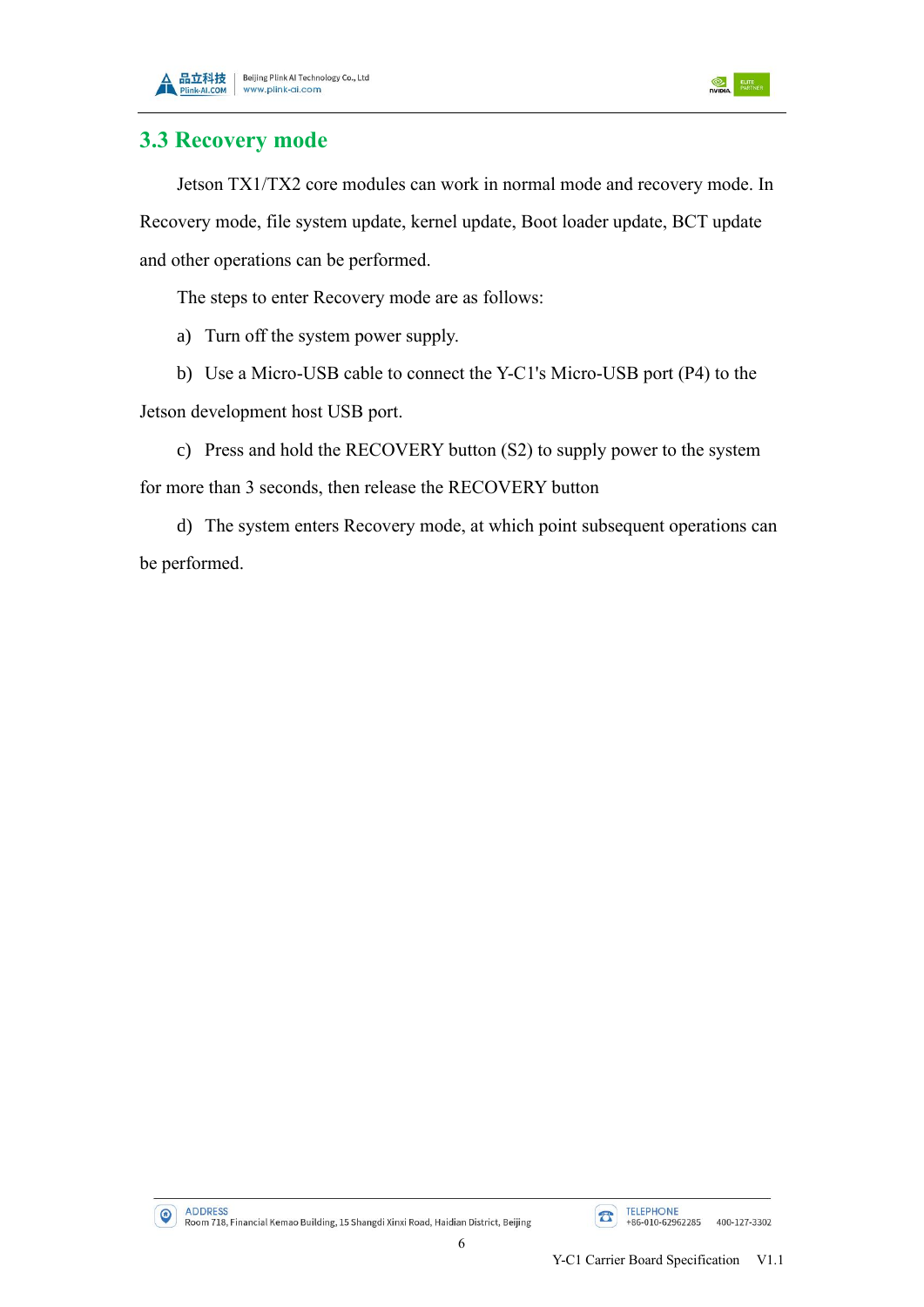





#### <span id="page-9-0"></span>**3.3 Recovery mode**

Jetson TX1/TX2 core modules can work in normal mode and recovery mode. In Recovery mode, file system update, kernel update, Boot loader update, BCT update and other operations can be performed.

The steps to enter Recovery mode are as follows:

- a) Turn off the system power supply.
- b) Use a Micro-USB cable to connect the Y-C1's Micro-USB port (P4) to the

Jetson development host USB port.

c) Press and hold the RECOVERY button (S2) to supply power to the system for more than 3 seconds, then release the RECOVERY button

d) The system enters Recovery mode, at which point subsequent operations can be performed.

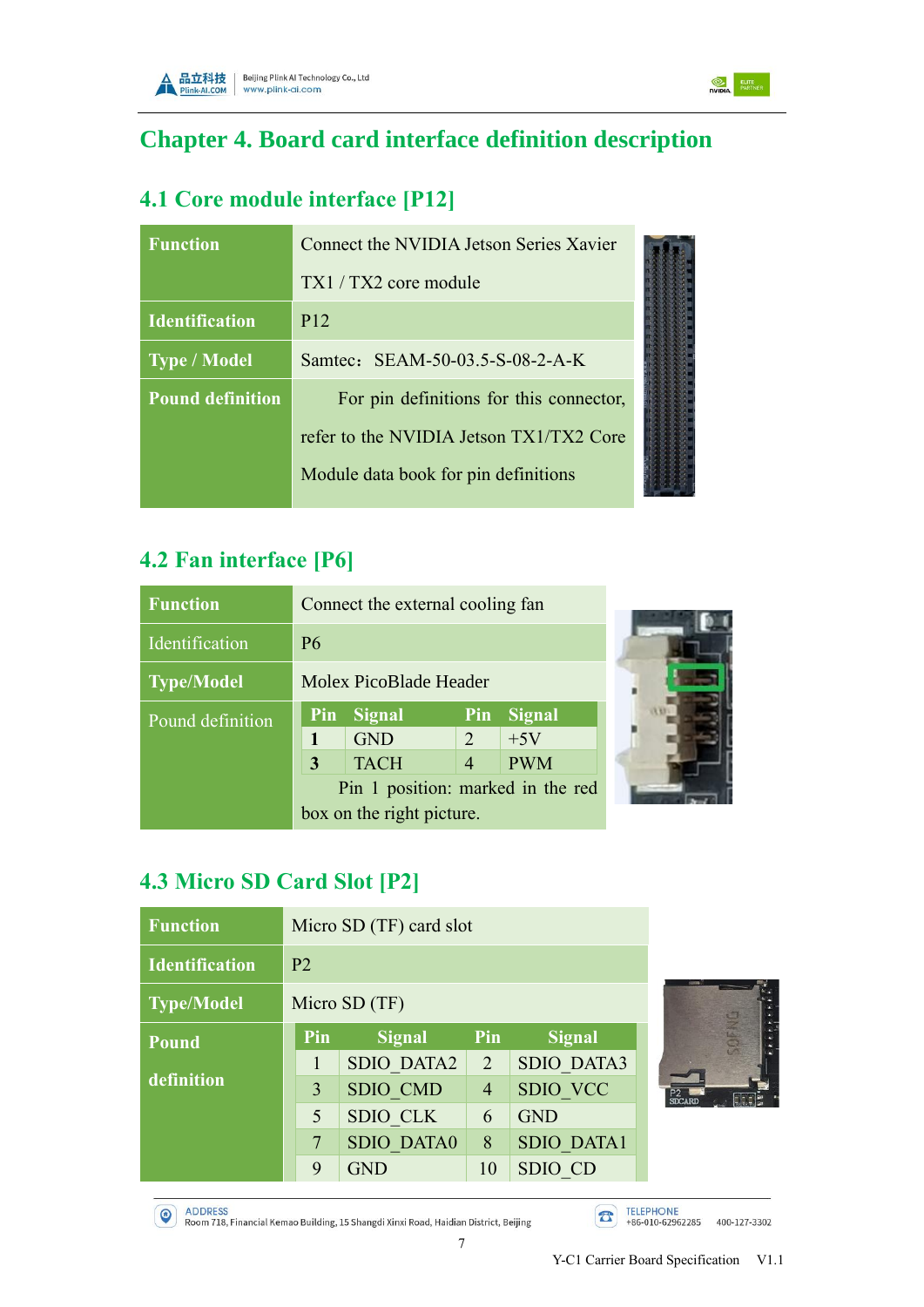

<span id="page-10-0"></span>

# <span id="page-10-1"></span>**4.1 Core module interface [P12]**

| <b>Function</b>         | Connect the NVIDIA Jetson Series Xavier |  |
|-------------------------|-----------------------------------------|--|
|                         | $TX1 / TX2$ core module                 |  |
| <b>Identification</b>   | P <sub>12</sub>                         |  |
| Type / Model            | Samtec: SEAM-50-03.5-S-08-2-A-K         |  |
| <b>Pound definition</b> | For pin definitions for this connector, |  |
|                         | refer to the NVIDIA Jetson TX1/TX2 Core |  |
|                         | Module data book for pin definitions    |  |

## <span id="page-10-2"></span>**4.2 Fan interface [P6]**

| <b>Function</b>   |           | Connect the external cooling fan  |                |               |  |
|-------------------|-----------|-----------------------------------|----------------|---------------|--|
| Identification    | <b>P6</b> |                                   |                |               |  |
| <b>Type/Model</b> |           | Molex PicoBlade Header            |                |               |  |
| Pound definition  | Pin       | <b>Signal</b>                     | Pin            | <b>Signal</b> |  |
|                   |           | <b>GND</b>                        | $\overline{2}$ | $+5V$         |  |
|                   | 3         | <b>TACH</b>                       | $\overline{4}$ | <b>PWM</b>    |  |
|                   |           | Pin 1 position: marked in the red |                |               |  |
|                   |           | box on the right picture.         |                |               |  |

## <span id="page-10-3"></span>**4.3 Micro SD Card Slot [P2]**

| <b>Function</b>       | Micro SD (TF) card slot |                   |                |                   |
|-----------------------|-------------------------|-------------------|----------------|-------------------|
| <b>Identification</b> | P <sub>2</sub>          |                   |                |                   |
| <b>Type/Model</b>     |                         | Micro SD (TF)     |                |                   |
| <b>Pound</b>          | Pin                     | <b>Signal</b>     | Pin            | <b>Signal</b>     |
|                       |                         | <b>SDIO DATA2</b> | 2              | <b>SDIO DATA3</b> |
| definition            | 3                       | SDIO CMD          | $\overline{4}$ | SDIO VCC          |
|                       | 5                       | <b>SDIO CLK</b>   | 6              | <b>GND</b>        |
|                       | 7                       | <b>SDIO DATA0</b> | 8              | <b>SDIO DATA1</b> |
|                       | 9                       | <b>GND</b>        | 10             | SDIO CD           |



**NIDIA** ELITE

ADDRESS<br>Room 718, Financial Kemao Building, 15 Shangdi Xinxi Road, Haidian District, Beijing

TELEPHONE<br>+86-010-62962285 400-127-3302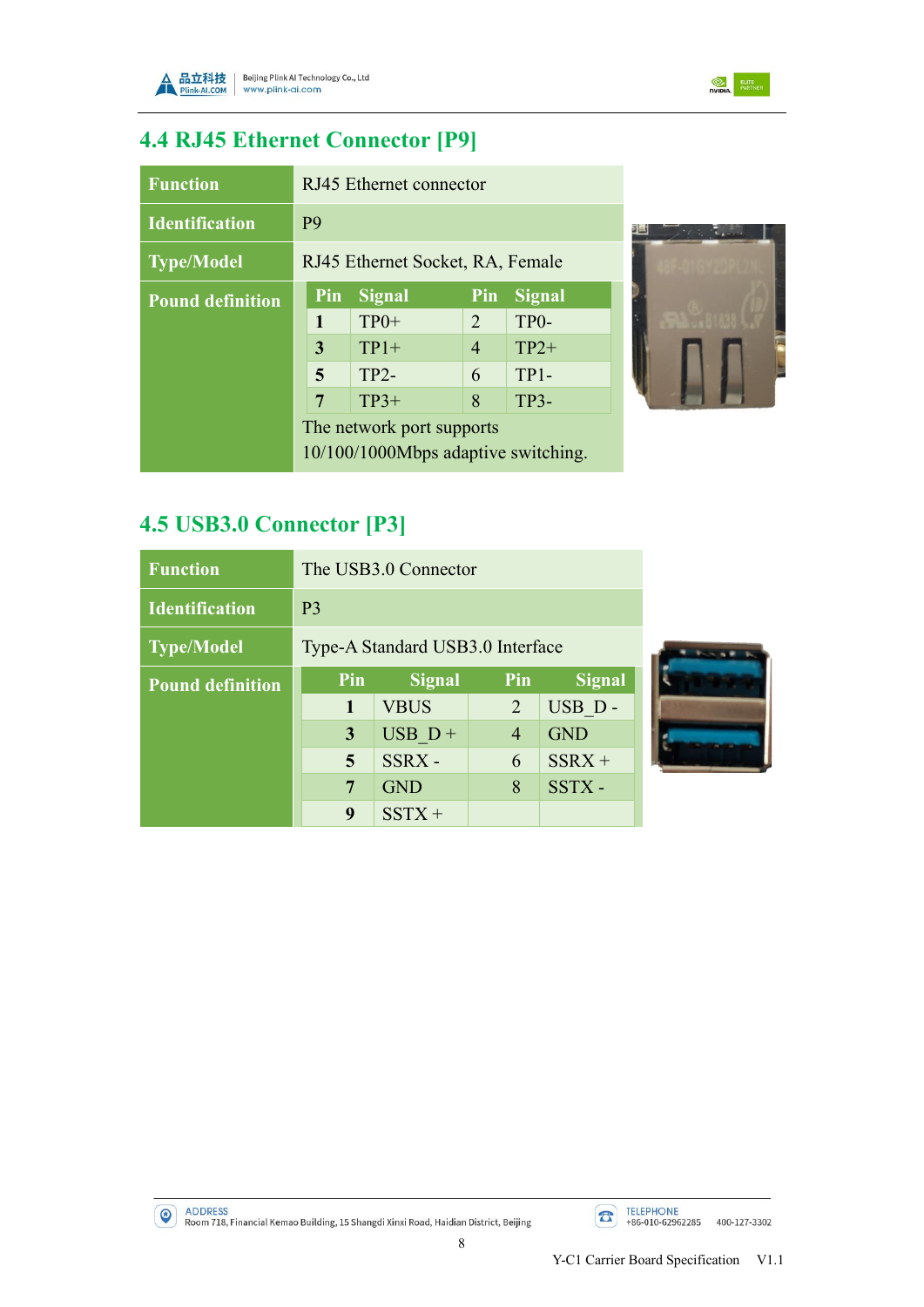



**Talk** 

# <span id="page-11-0"></span>**4.4 RJ45 Ethernet Connector [P9]**

| <b>Function</b>         |                | RJ45 Ethernet connector             |                |                   |  |
|-------------------------|----------------|-------------------------------------|----------------|-------------------|--|
| <b>Identification</b>   | P <sub>9</sub> |                                     |                |                   |  |
| <b>Type/Model</b>       |                | RJ45 Ethernet Socket, RA, Female    |                |                   |  |
| <b>Pound definition</b> | Pin            | <b>Signal</b>                       | Pin            | <b>Signal</b>     |  |
|                         | $\mathbf{1}$   | $TP0+$                              | $\overline{2}$ | TP <sub>0</sub> - |  |
|                         | 3              | $TP1+$                              | $\overline{4}$ | $TP2+$            |  |
|                         | 5              | $TP2-$                              | 6              | $TP1-$            |  |
|                         | 7              | $TP3+$                              | 8              | $TP3-$            |  |
|                         |                | The network port supports           |                |                   |  |
|                         |                | 10/100/1000Mbps adaptive switching. |                |                   |  |

# <span id="page-11-1"></span>**4.5 USB3.0 Connector [P3]**

| <b>Function</b>         |                | The USB3.0 Connector             |                |               |  |
|-------------------------|----------------|----------------------------------|----------------|---------------|--|
| <b>Identification</b>   | P <sub>3</sub> |                                  |                |               |  |
| <b>Type/Model</b>       |                | Type-A Standard USB3.0 Interface |                |               |  |
| <b>Pound definition</b> | Pin            | Signal                           | Pin            | <b>Signal</b> |  |
|                         | 1              | <b>VBUS</b>                      | 2              | USB D-        |  |
|                         | 3              | $USB D +$                        | $\overline{4}$ | <b>GND</b>    |  |
|                         | 5              | SSRX-                            | 6              | $SSRX +$      |  |
|                         | 7              | <b>GND</b>                       | 8              | SSTX-         |  |
|                         | 9              | $SSTX +$                         |                |               |  |



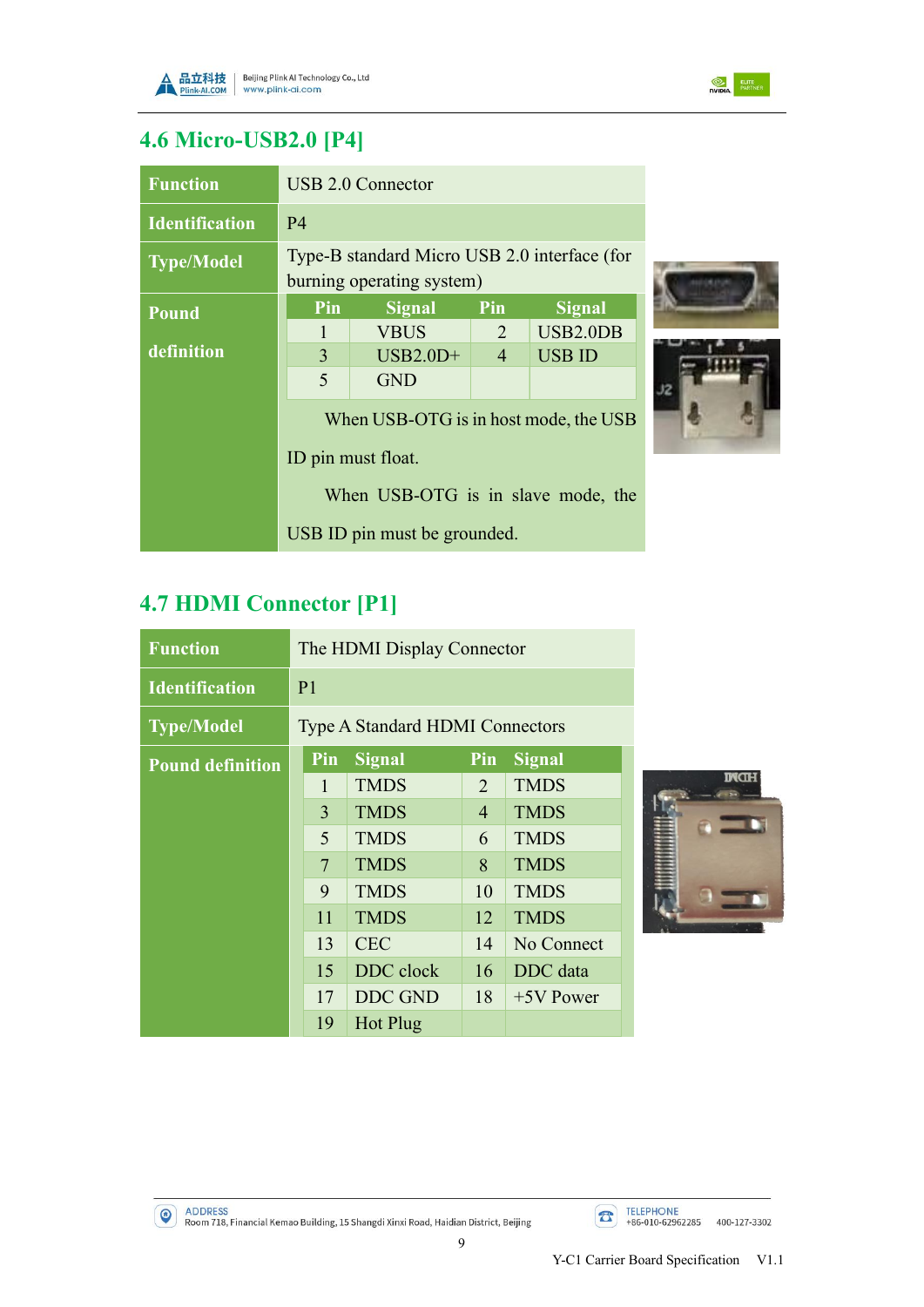



# <span id="page-12-0"></span>**4.6 Micro-USB2.0 [P4]**

| <b>Function</b>       | USB 2.0 Connector                                                         |                              |                |                 |
|-----------------------|---------------------------------------------------------------------------|------------------------------|----------------|-----------------|
| <b>Identification</b> | P <sub>4</sub>                                                            |                              |                |                 |
| <b>Type/Model</b>     | Type-B standard Micro USB 2.0 interface (for<br>burning operating system) |                              |                |                 |
| <b>Pound</b>          | Pin                                                                       | <b>Signal</b>                | Pin            | <b>Signal</b>   |
|                       |                                                                           | <b>VBUS</b>                  | $\overline{2}$ | <b>USB2.0DB</b> |
| definition            | 3                                                                         | $USB2.0D+$                   | $\overline{4}$ | <b>USB ID</b>   |
|                       | 5                                                                         | <b>GND</b>                   |                |                 |
|                       | When USB-OTG is in host mode, the USB                                     |                              |                |                 |
|                       | ID pin must float.                                                        |                              |                |                 |
|                       | When USB-OTG is in slave mode, the                                        |                              |                |                 |
|                       |                                                                           | USB ID pin must be grounded. |                |                 |

# <span id="page-12-1"></span>**4.7 HDMI Connector [P1]**

| <b>Function</b>         | The HDMI Display Connector             |                |                |               |  |
|-------------------------|----------------------------------------|----------------|----------------|---------------|--|
| <b>Identification</b>   | P <sub>1</sub>                         |                |                |               |  |
| <b>Type/Model</b>       | <b>Type A Standard HDMI Connectors</b> |                |                |               |  |
| <b>Pound definition</b> | Pin                                    | <b>Signal</b>  | Pin            | <b>Signal</b> |  |
|                         | 1                                      | <b>TMDS</b>    | 2              | <b>TMDS</b>   |  |
|                         | $\overline{3}$                         | <b>TMDS</b>    | $\overline{4}$ | <b>TMDS</b>   |  |
|                         | 5                                      | <b>TMDS</b>    | 6              | <b>TMDS</b>   |  |
|                         | $\overline{7}$                         | <b>TMDS</b>    | 8              | <b>TMDS</b>   |  |
|                         | 9                                      | <b>TMDS</b>    | 10             | <b>TMDS</b>   |  |
|                         | 11                                     | <b>TMDS</b>    | 12             | <b>TMDS</b>   |  |
|                         | 13                                     | <b>CEC</b>     | 14             | No Connect    |  |
|                         | 15                                     | DDC clock      | 16             | DDC data      |  |
|                         | 17                                     | <b>DDC GND</b> | 18             | $+5V$ Power   |  |
|                         | 19                                     | Hot Plug       |                |               |  |



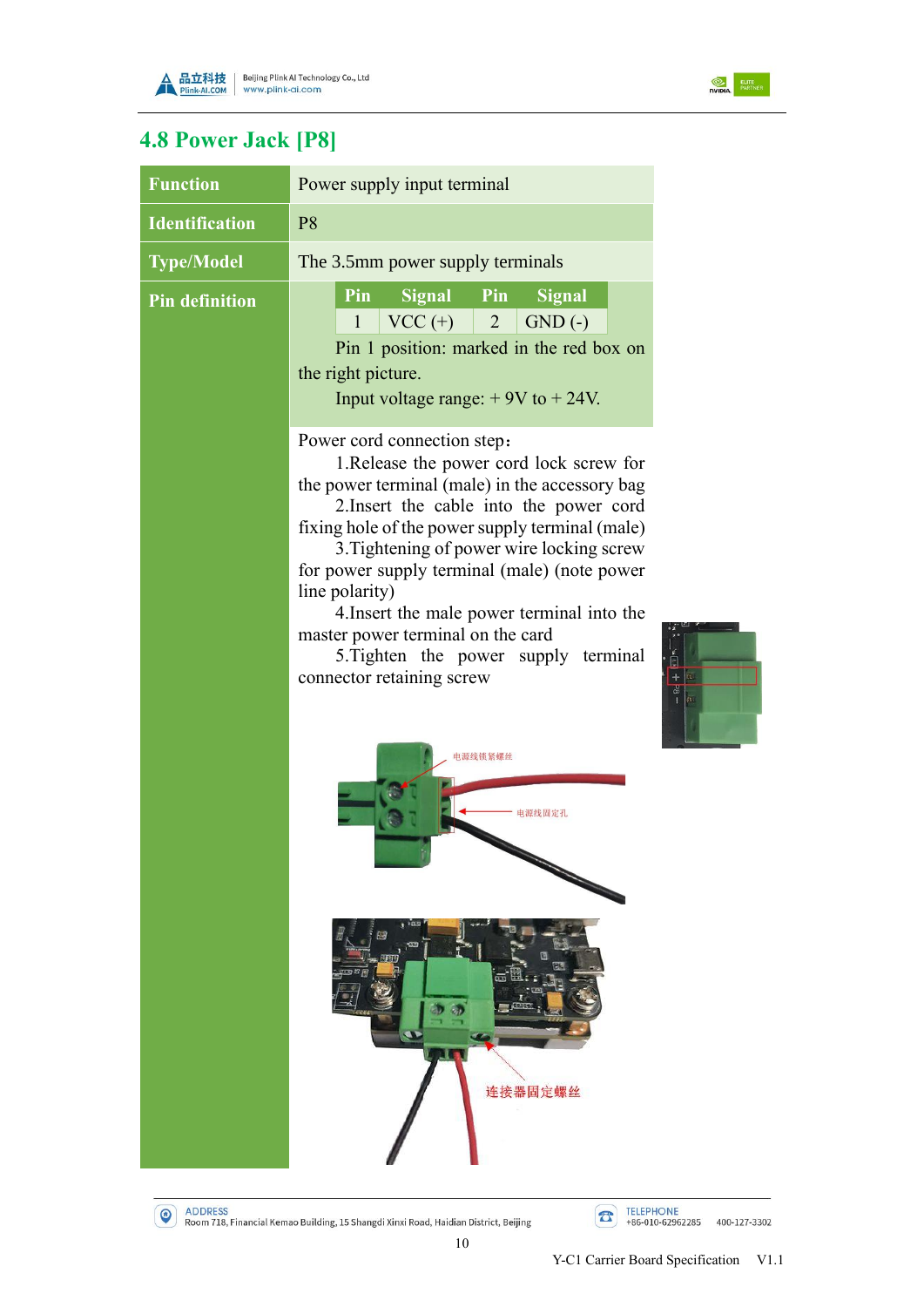



# <span id="page-13-0"></span>**4.8 Power Jack [P8]**

| <b>Function</b>       | Power supply input terminal                                                                                                                                                                                                                                                                                                                                                                                                                                                                    |  |  |  |  |  |
|-----------------------|------------------------------------------------------------------------------------------------------------------------------------------------------------------------------------------------------------------------------------------------------------------------------------------------------------------------------------------------------------------------------------------------------------------------------------------------------------------------------------------------|--|--|--|--|--|
| <b>Identification</b> | P <sub>8</sub>                                                                                                                                                                                                                                                                                                                                                                                                                                                                                 |  |  |  |  |  |
| <b>Type/Model</b>     | The 3.5mm power supply terminals                                                                                                                                                                                                                                                                                                                                                                                                                                                               |  |  |  |  |  |
| <b>Pin definition</b> | Pin<br>Signal Pin<br><b>Signal</b><br>$VCC (+)$ 2 GND (-)<br>1<br>Pin 1 position: marked in the red box on<br>the right picture.<br>Input voltage range: $+9V$ to $+24V$ .                                                                                                                                                                                                                                                                                                                     |  |  |  |  |  |
|                       | Power cord connection step:<br>1. Release the power cord lock screw for<br>the power terminal (male) in the accessory bag<br>2. Insert the cable into the power cord<br>fixing hole of the power supply terminal (male)<br>3. Tightening of power wire locking screw<br>for power supply terminal (male) (note power<br>line polarity)<br>4. Insert the male power terminal into the<br>master power terminal on the card<br>5. Tighten the power supply terminal<br>connector retaining screw |  |  |  |  |  |
|                       | 电源线锁紧螺丝                                                                                                                                                                                                                                                                                                                                                                                                                                                                                        |  |  |  |  |  |
|                       | 连接器固定螺丝                                                                                                                                                                                                                                                                                                                                                                                                                                                                                        |  |  |  |  |  |

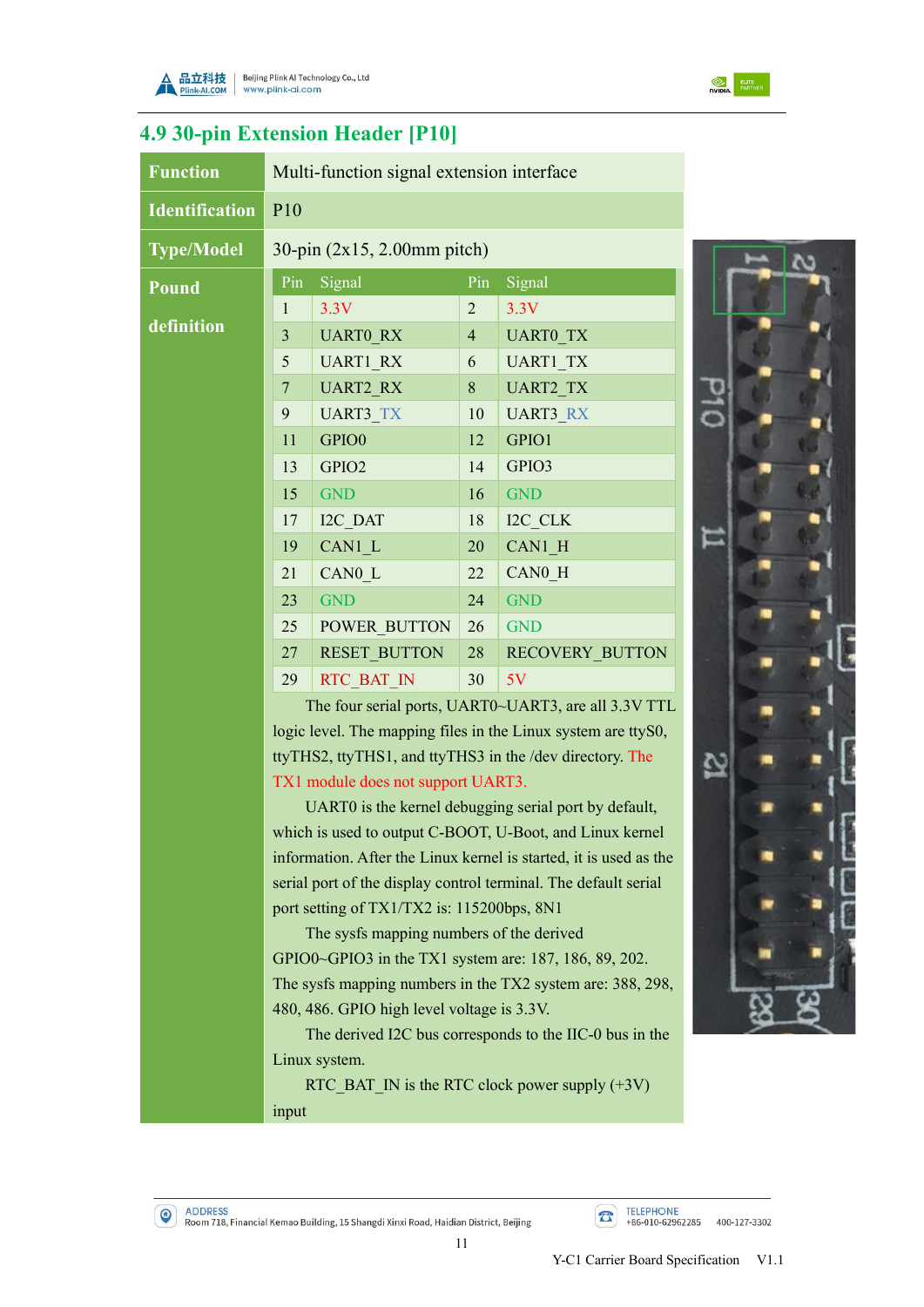



## <span id="page-14-0"></span>**4.9 30-pin Extension Header [P10]**

| <b>Function</b>       | Multi-function signal extension interface                       |                                          |                |                                                                   |    |  |
|-----------------------|-----------------------------------------------------------------|------------------------------------------|----------------|-------------------------------------------------------------------|----|--|
| <b>Identification</b> | P <sub>10</sub>                                                 |                                          |                |                                                                   |    |  |
| <b>Type/Model</b>     | 30-pin (2x15, 2.00mm pitch)                                     |                                          |                |                                                                   |    |  |
| <b>Pound</b>          | Pin                                                             | Signal                                   | Pin            | Signal                                                            |    |  |
|                       | $\mathbf{1}$                                                    | 3.3V                                     | $\overline{2}$ | 3.3V                                                              |    |  |
| definition            | $\overline{\mathbf{3}}$                                         | <b>UARTO RX</b>                          | $\overline{4}$ | <b>UARTO TX</b>                                                   |    |  |
|                       | 5                                                               | UART1 RX                                 | 6              | <b>UART1 TX</b>                                                   |    |  |
|                       | $\overline{7}$                                                  | <b>UART2 RX</b>                          | $8\,$          | <b>UART2 TX</b>                                                   |    |  |
|                       | 9                                                               | <b>UART3 TX</b>                          | 10             | <b>UART3 RX</b>                                                   | JЦ |  |
|                       | 11                                                              | GPIO0                                    | 12             | GPIO1                                                             |    |  |
|                       | 13                                                              | GPIO2                                    | 14             | GPIO3                                                             |    |  |
|                       | 15                                                              | <b>GND</b>                               | 16             | <b>GND</b>                                                        |    |  |
|                       | 17                                                              | I2C DAT                                  | 18             | I2C CLK                                                           |    |  |
|                       | 19                                                              | CAN1 L                                   | 20             | CAN1 H                                                            |    |  |
|                       | 21                                                              | CAN0 L                                   | 22             | CAN0 H                                                            |    |  |
|                       | 23                                                              | <b>GND</b>                               | 24             | <b>GND</b>                                                        |    |  |
|                       | 25                                                              | POWER BUTTON                             | 26             | <b>GND</b>                                                        |    |  |
|                       | 27                                                              | <b>RESET BUTTON</b>                      | 28             | <b>RECOVERY BUTTON</b>                                            |    |  |
|                       | 29                                                              | <b>RTC BAT IN</b>                        | 30             | 5V                                                                |    |  |
|                       |                                                                 |                                          |                | The four serial ports, UART0~UART3, are all 3.3V TTL              |    |  |
|                       |                                                                 |                                          |                | logic level. The mapping files in the Linux system are ttyS0,     |    |  |
|                       |                                                                 |                                          |                | ttyTHS2, ttyTHS1, and ttyTHS3 in the /dev directory. The          |    |  |
|                       |                                                                 | TX1 module does not support UART3.       |                |                                                                   |    |  |
|                       |                                                                 |                                          |                | UART0 is the kernel debugging serial port by default,             |    |  |
|                       |                                                                 |                                          |                | which is used to output C-BOOT, U-Boot, and Linux kernel          |    |  |
|                       |                                                                 |                                          |                | information. After the Linux kernel is started, it is used as the |    |  |
|                       | serial port of the display control terminal. The default serial |                                          |                |                                                                   |    |  |
|                       | port setting of TX1/TX2 is: 115200bps, 8N1                      |                                          |                |                                                                   |    |  |
|                       |                                                                 | The sysfs mapping numbers of the derived |                |                                                                   |    |  |
|                       |                                                                 |                                          |                | GPIO0~GPIO3 in the TX1 system are: 187, 186, 89, 202.             |    |  |
|                       |                                                                 |                                          |                | The sysfs mapping numbers in the TX2 system are: 388, 298,        |    |  |

480, 486. GPIO high level voltage is 3.3V.

The derived I2C bus corresponds to the IIC-0 bus in the Linux system.

RTC\_BAT\_IN is the RTC clock power supply (+3V) input



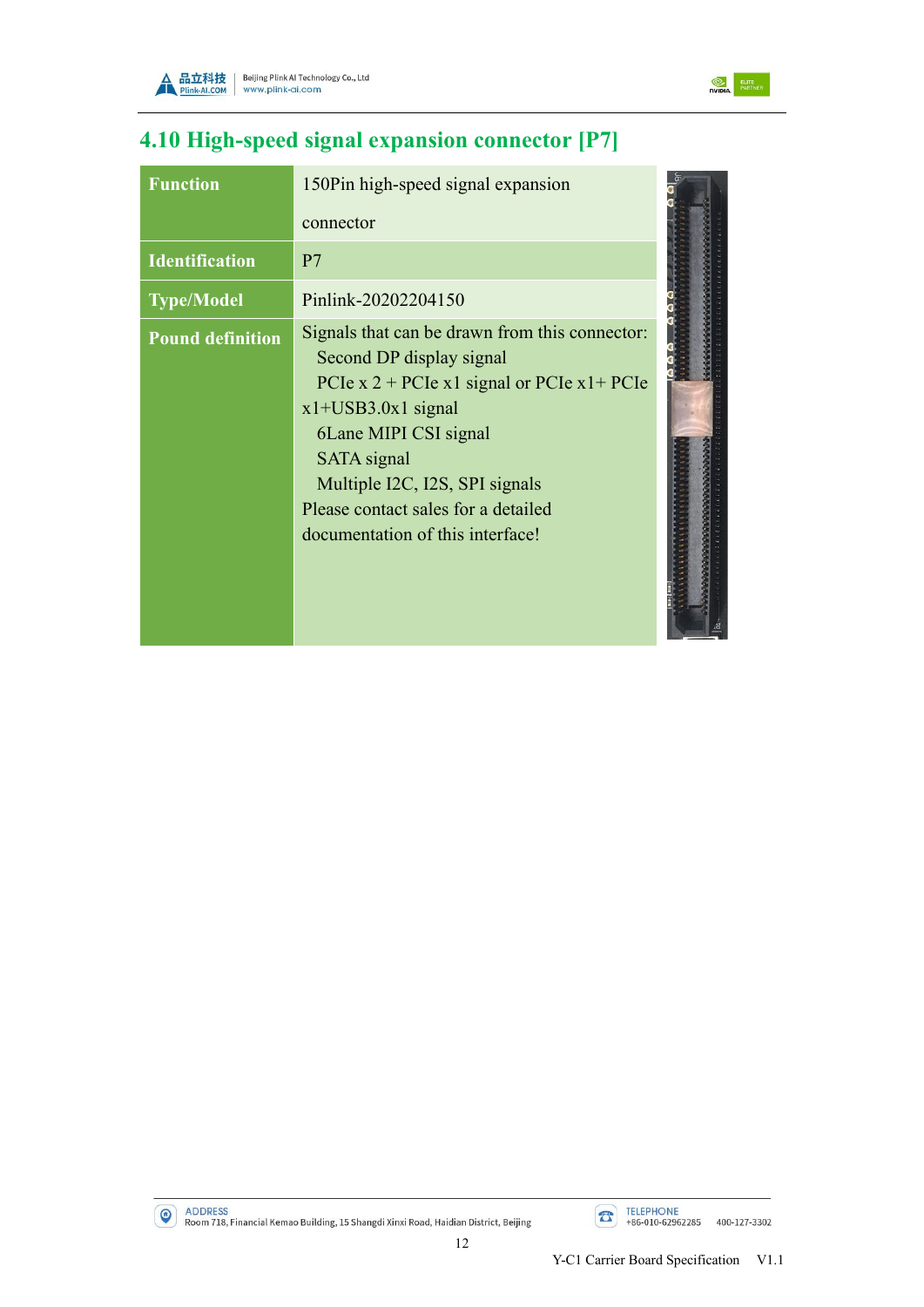



# <span id="page-15-0"></span>**4.10 High-speed signal expansion connector [P7]**

| <b>Function</b>         | 150Pin high-speed signal expansion                                                                                                                                                                                                                                                                               |  |
|-------------------------|------------------------------------------------------------------------------------------------------------------------------------------------------------------------------------------------------------------------------------------------------------------------------------------------------------------|--|
|                         | connector                                                                                                                                                                                                                                                                                                        |  |
| <b>Identification</b>   | P <sub>7</sub>                                                                                                                                                                                                                                                                                                   |  |
| <b>Type/Model</b>       | Pinlink-20202204150                                                                                                                                                                                                                                                                                              |  |
| <b>Pound definition</b> | Signals that can be drawn from this connector:<br>Second DP display signal<br>PCIe x 2 + PCIe x 1 signal or PCIe x $1+$ PCIe<br>$x1+USB3.0x1$ signal<br>6Lane MIPI CSI signal<br><b>SATA</b> signal<br>Multiple I2C, I2S, SPI signals<br>Please contact sales for a detailed<br>documentation of this interface! |  |